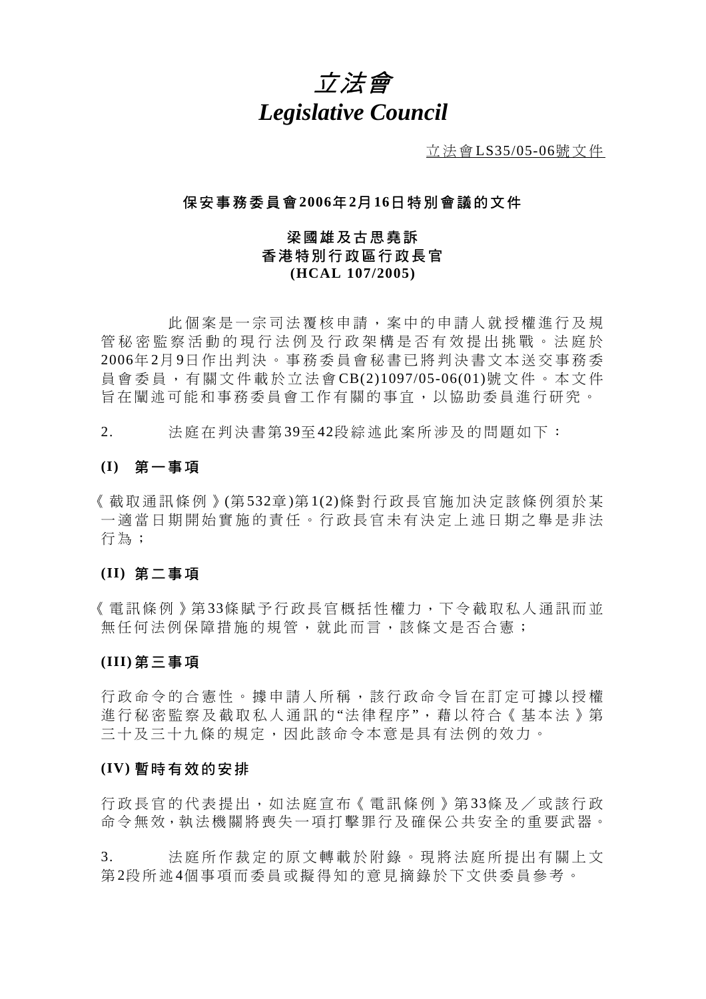# 立法會 *Legislative Council*

立法會 LS35/05-06號文件

## 保安事務委員會 **2006**年 **2**月 **16**日特別會議的文件

## 梁國雄及古思堯訴 香港特別行政區行政長官 **(HCAL 107/2005)**

 此個案是一宗司法覆核申請, 案中的申請人就授權進行及規 管秘密監察活動的現行法例及行政架構是否有效提出挑戰。法庭於 2006年 2月 9日作出判決。事務委員會秘書已將判決書文本送交事務委 員會委員,有關文件載於立法會 CB(2)1097/05-06(01)號文件。本文件 旨在闡述可能和事務委員會工作有關的 事宜,以協助委員進行研究。

2. 法庭在判決書第 39至 42段綜述此案所涉及的問題如下:

## **(I)** 第一事項

《截取通訊條例》(第 532章)第 1(2)條對行政長官施加決定該條例須於某 一滴當日期開始實施的責任。行政長官未有決定上述日期之舉是非法 行為;

### **(II)** 第二事項

《電訊條例》第 33條賦予行政長官概括性權力,下令截取私人通訊而並 無任何法例保障措施的規管, 就此而言, 該條文是否合憲;

## **(III)** 第三事項

行政命令的合憲性。據申請人所稱,該 行政命令旨在訂定可據以授權 進行秘密監察及截取私人通訊的"法律程序",藉以符合《基本法》第 三十及三十九條的規定,因此該命令本意是具有法例的效力。

#### **(IV)** 暫時有效的安排

行政長官的代表提出,如法庭 宣布《電訊條例》第 33條及/或該行政 命令無效,執法機關將喪失一 項打擊罪行及確保公共安全的重要武器。

3. 法庭所作裁定的原文轉載於附 錄。現將法庭所提出有關上文 第 2段所述 4個事項而委員或擬得知的 意見摘錄於下文供委員參考。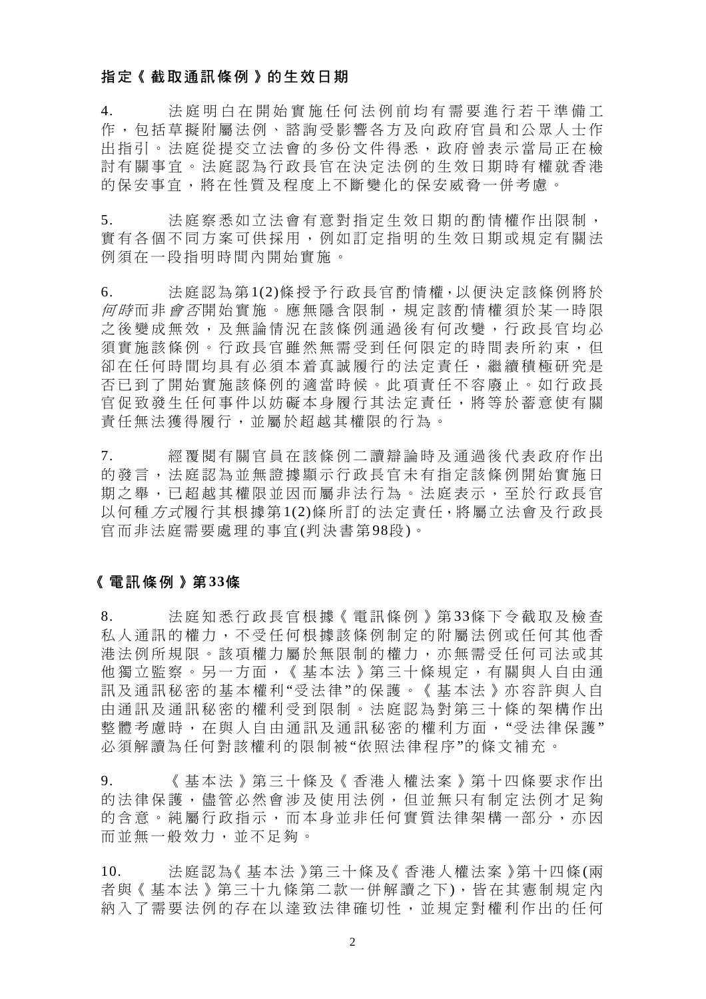## 指定《截取通訊條例》的生效日期

4. 法庭明白在開始實施任何法例前 均有需要進行若干準備工 作,包括草擬附屬法例、諮詢受影響各 方及向政府官員和公眾人士作 出指引。法庭從提交立法會的多份文件得悉,政府曾表示當局正在檢 討 有關事宜。法庭 認 為行政長官在決定法例的 生 效日期 時 有權就 香 港 的保安事宜,將在性質及程度上不斷變化的保安威脅一併考慮。

5. 法庭察悉如立法會有意對指定生效日期的酌情權作出限制, 實有各個不同方案可供採用,例如訂定指明的生效日期或規定有關法 例須在一段指明時間內開始實施。

6. 法 庭認為第 1(2)條授予行政長官酌情權,以 便決定該條例將於 何時而非 會否開始實施。應無隱含限制,規定該酌情權須於某一時限 之 後 變 成 無 效, ,及 無 論 情 況 在 該 條 例 涌 渦 後 有 何 改 變 , 行 政 長 官 均 必 須實施該條例。行政長官雖然無需受到任何限定的時間表所約束,但 卻在任何時間均具有必須本着真誠履行的法定責任, 繼續積極研究是 否 已 到 了 開始實施該條例的適當 時 候 。此項責任 不容廢止 。如行政長 官促致發生任何事件以妨礙本身履行其法定責任,將等於蓄意使有關 責任無法獲得履行,並屬於超越其權限的行為。

7. 經 覆 閱 有關官員在該條例 二讀辯論時 及 通 過 後 代表政府作出 的 發 言,法 庭認 為 並 無 證 據 顯 示 行 政 長 官 未 有 指 定 該 條 例 開 始 實 施 日 期之舉,已超越其權限並因而屬非法行為。法庭表示,至於行政長官 以何種方式履行其根據第1(2)條所訂的法定責任,將屬立法會及行政長 官而非法庭需要處理 的事宜 (判決書第98段)。

## 《電訊條例》第 **33**條

8. 法庭知悉行政長官根據《電訊條例》第33條下令截取及檢查 私人通訊的權力, 不受任何根據該條例制定的附屬法例或任何其他香 港法例所規限。該項權力屬於無限制的權力,亦無需受任何司法或其 他獨立監察。另一方面,《基本法》第三十條規定,有關與人自由通 訊及通訊秘密的基本權利"受法律"的保護。《基本法》亦容許與人自 由 通訊及通訊秘密的權 利 受 到限制 。法庭 認 為對第三十條的架構作出 整體考慮時,在與人自由通訊及通訊秘密的權利方面,"受法律保護" 必 須解讀為任何對該權利的限制被"依 照法律程序"的條文補充。

9. 《基本法》第三十條及《香港人權法案》第十四條要求作出 的法律保護, 儘管必然會涉及使用法例, 但並無只有制定法例才足夠 的含意。純屬行政指示,而本身並非任何實質法律架構一部分,亦因 而並無一般效力,並不足夠。

10. 法 庭認為《基 本 法 》第 三 十 條 及《 香港 人權法案》第十四 條(兩 者與《基本法》第三十九條第二款一併解讀之下),皆在其憲制規定內 納入了需要法例的存在以達致法律確切性,並規定對權利作出的任何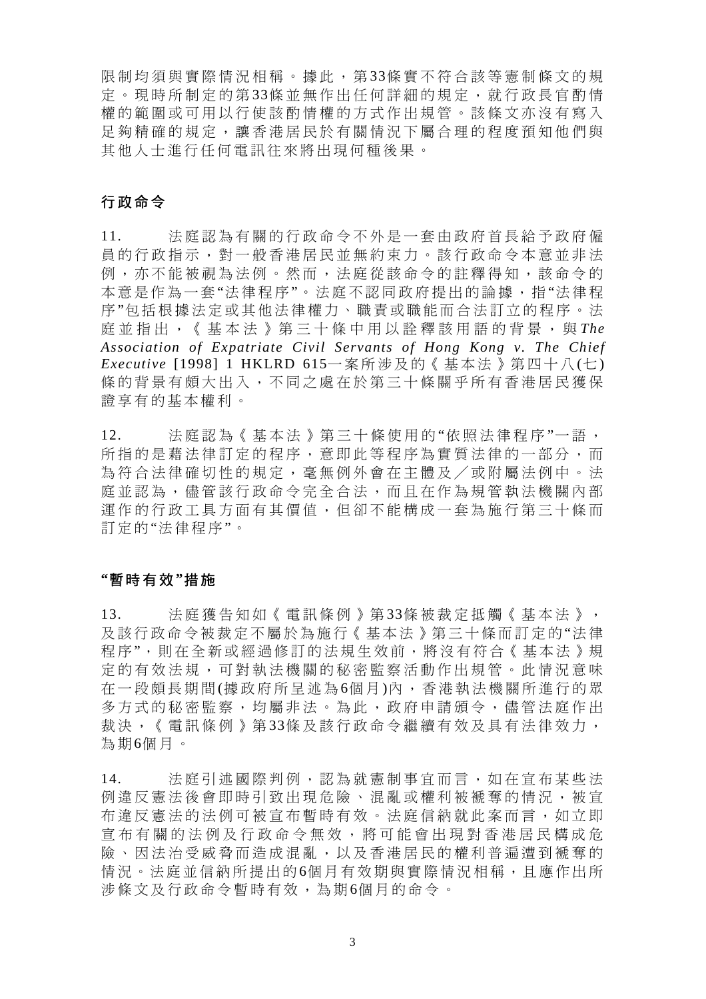限制均須與實際情況相稱。據此,第33條實不符合該等憲制條文的規 定。現時所制定的第33條並無作出任何詳細的規定,就行政長官酌情 權 的 範 圍 或 可 用 以 行 使 該 酌 情 權的方 式 作出規管。該條文 亦 沒 有 寫 入 足夠精確的規定, 讓香港居民於有關情況下屬合理的程度預知他們與 其 他人士進行任何電訊往來將出現何種後果。

## 行政命令

11. 法庭認為有關的行政命令不外是一套由政府首長給予政府僱 員的行政指示, 對一般香港居民並無約束力。該行政命令本意並非法 例,亦不能被視為法例。然而,法庭從該命令的註釋得知,該命令的 本意是作為一套"法律程序"。法庭不認同政府提出的論據,指"法律程 序"包括根據法定或其他法律權力、職責或職能而合法訂立的程序。法 庭並指出,《基本法》第三十條中 用 以 詮 釋 該 用 語 的 背 景 , 與 *The Association of Expatriate Civil Servants of Hong Kong v. The Chief Executive* [1998] 1 HKLRD 615一案所涉及的《基本法》第四十八 (七 ) 條的背景有頗大出入,不同之處在於第三十條關乎所有香港居民獲保 證 享有的基本權利。

12. 法庭認為《基本法》第三十條使用的"依照法律程序"一語, 所指的是藉法律訂定的程序,意即此等程序為實質法律的一部分,而 為符合法律確切性的規定, 毫無例外會在主體及/或附屬法例中。法 庭並認為,儘管該行政命令完全合法,而且在作為規管執法機關內部 運 作的行政工具方 面 有 其價值 , 但卻不 能 構 成 一 套 為施行第三十條而 訂定的"法律程序"。

## **"**暫時有效 **"**措 施

13. 法庭獲告知如《電訊條例》第33條被裁定抵觸《基本法》, 及該行政命令被裁定 不屬於為施行《基本法》第三十條而訂定的 "法 律 程序",則在全新或經過修訂的法規生效前,將沒有符合《基本法》規 定的有效法規,可對執法機關 的秘密監察活動作出規管。此 情 況 意 味 在一段 頗 長 期 間 (據政府所 呈 述 為 6個 月 )內 , 香 港 執法機關所進行的眾 多方式的秘密監察,均屬非法。為此,政府申請頒令,儘管法庭作出 裁決,《電訊條例》第33條及該行政命令繼續有效及具有法律效力, 為 期6個月。

14. 法庭引述國際判例,認為就憲制事宜而言,如在宣布某些法 例違反憲法後會即時引致出現危險、混亂或權利被褫奪的情況,被宣 布違反憲法的法例可被宣布暫時有效。法庭信納就此案而言,如立即 宣布有關的法例及行政命令無效,將可能會出現對 香港居民 構 成 危 險、因法治受威脅而造成混亂,以及香港居民的權利普遍遭到褫奪的 情況。法庭並信納所提出的6個月有效期與實際情況相稱,且應作出所 涉條文及行政命令暫 時有效,為期 6個月的命令。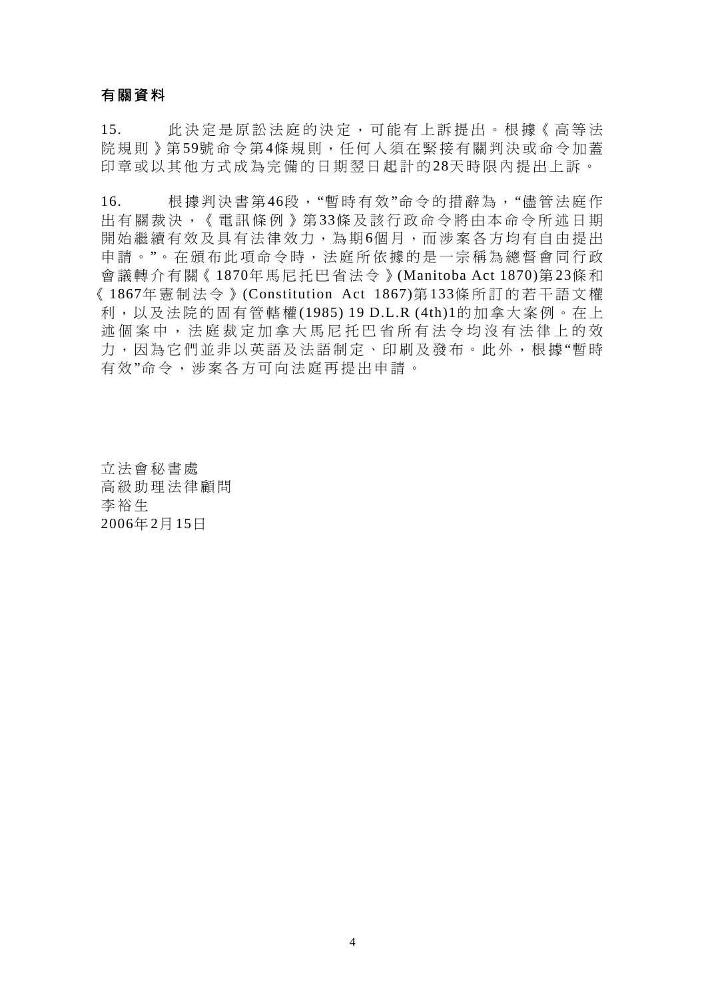## 有關資料

15. 此決定是原訟法庭的決定,可能有上訴提出。根據《高等法 院規則》第59號命令第4條規則,任何人須在緊接有關判決或命令加蓋 印章或以其他方式成為完備的日期翌日起計的28天時限內提出上訴。

16. 根 據判決書第46段,"暫時有 效"命令的措辭為,"儘管法庭作 出有關裁決,《電訊條例》第33條及該行政命令將由本命今所述日期 開始繼續有效及具有法律效力,為期6個月,而涉案各方均有自由提出 申請。"。在頒布此項命令時,法庭所依據的是一宗稱為總督會同行政 會 議轉介有關《1870年馬尼托巴省法令》(Manitoba Act 1870)第23條 和 《 1867年 憲 制 法令》 (Constitution Act 1867)第 133條所訂的若干 語 文 權 利,以及法 院的固有 管轄權 (1985) 19 D.L.R (4th)1的加 拿大 案例。在上 述個案中,法庭裁定加拿大馬尼托巴省所有法令均沒有法律上的效 力,因為它們並非以英語及法語制定、印刷及發布。此外,根據"暫時 有 效"命令,涉案各方可向法庭再提出申請。

立法會秘書 處 高 級助理法 律顧問 李 裕生 2006年 2月 15日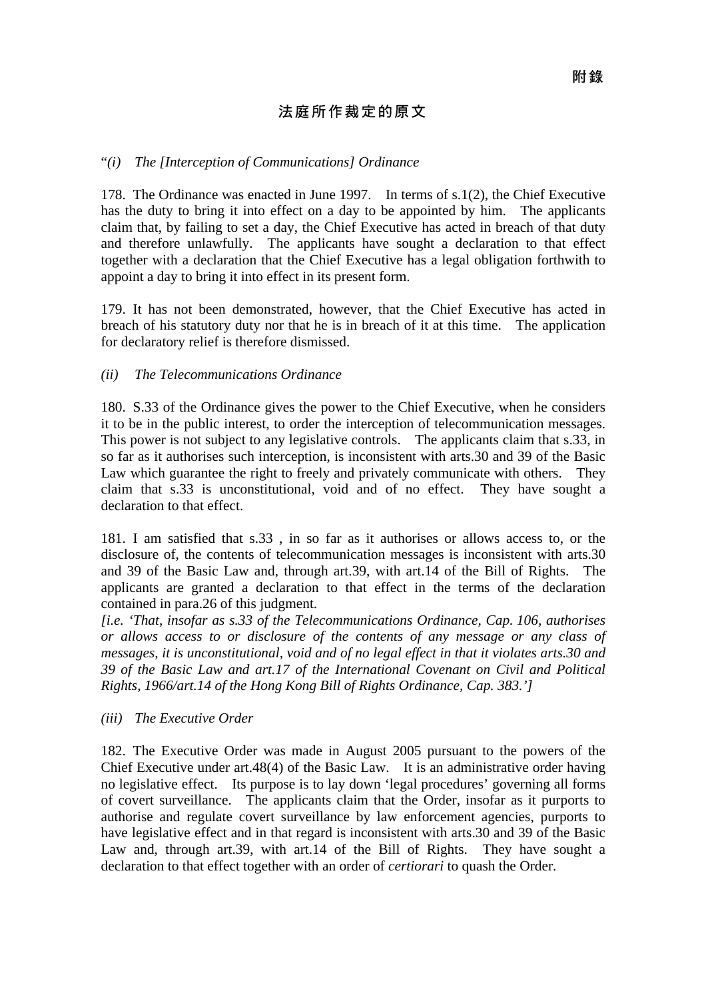## 法庭所作裁定的原文

## "*(i) The [Interception of Communications] Ordinance*

178. The Ordinance was enacted in June 1997. In terms of s.1(2), the Chief Executive has the duty to bring it into effect on a day to be appointed by him. The applicants claim that, by failing to set a day, the Chief Executive has acted in breach of that duty and therefore unlawfully. The applicants have sought a declaration to that effect together with a declaration that the Chief Executive has a legal obligation forthwith to appoint a day to bring it into effect in its present form.

179. It has not been demonstrated, however, that the Chief Executive has acted in breach of his statutory duty nor that he is in breach of it at this time. The application for declaratory relief is therefore dismissed.

## *(ii) The Telecommunications Ordinance*

180. S.33 of the Ordinance gives the power to the Chief Executive, when he considers it to be in the public interest, to order the interception of telecommunication messages. This power is not subject to any legislative controls. The applicants claim that s.33, in so far as it authorises such interception, is inconsistent with arts.30 and 39 of the Basic Law which guarantee the right to freely and privately communicate with others. They claim that s.33 is unconstitutional, void and of no effect. They have sought a declaration to that effect.

181. I am satisfied that s.33 , in so far as it authorises or allows access to, or the disclosure of, the contents of telecommunication messages is inconsistent with arts.30 and 39 of the Basic Law and, through art.39, with art.14 of the Bill of Rights. The applicants are granted a declaration to that effect in the terms of the declaration contained in para.26 of this judgment.

*[i.e. 'That, insofar as s.33 of the Telecommunications Ordinance, Cap. 106, authorises or allows access to or disclosure of the contents of any message or any class of messages, it is unconstitutional, void and of no legal effect in that it violates arts.30 and 39 of the Basic Law and art.17 of the International Covenant on Civil and Political Rights, 1966/art.14 of the Hong Kong Bill of Rights Ordinance, Cap. 383.']* 

*(iii) The Executive Order* 

182. The Executive Order was made in August 2005 pursuant to the powers of the Chief Executive under art.48(4) of the Basic Law. It is an administrative order having no legislative effect. Its purpose is to lay down 'legal procedures' governing all forms of covert surveillance. The applicants claim that the Order, insofar as it purports to authorise and regulate covert surveillance by law enforcement agencies, purports to have legislative effect and in that regard is inconsistent with arts.30 and 39 of the Basic Law and, through art.39, with art.14 of the Bill of Rights. They have sought a declaration to that effect together with an order of *certiorari* to quash the Order.